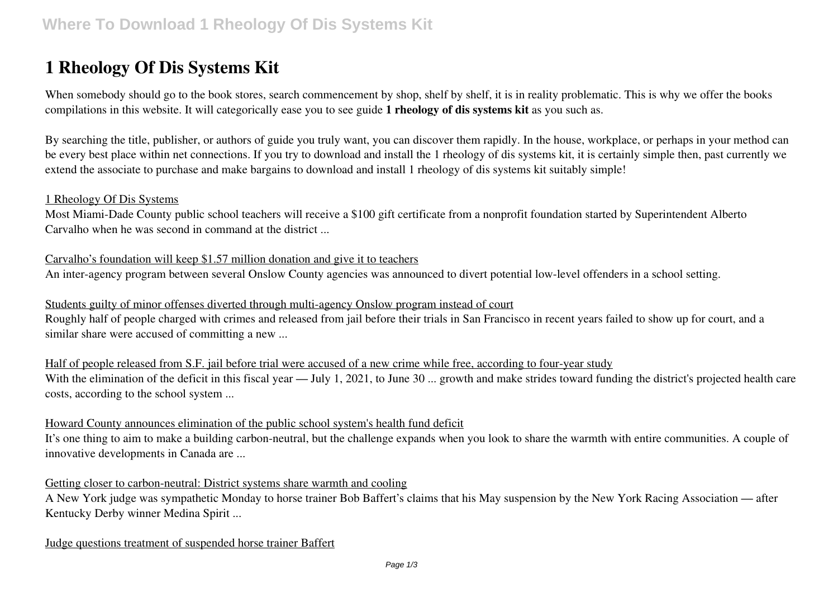# **1 Rheology Of Dis Systems Kit**

When somebody should go to the book stores, search commencement by shop, shelf by shelf, it is in reality problematic. This is why we offer the books compilations in this website. It will categorically ease you to see guide **1 rheology of dis systems kit** as you such as.

By searching the title, publisher, or authors of guide you truly want, you can discover them rapidly. In the house, workplace, or perhaps in your method can be every best place within net connections. If you try to download and install the 1 rheology of dis systems kit, it is certainly simple then, past currently we extend the associate to purchase and make bargains to download and install 1 rheology of dis systems kit suitably simple!

### 1 Rheology Of Dis Systems

Most Miami-Dade County public school teachers will receive a \$100 gift certificate from a nonprofit foundation started by Superintendent Alberto Carvalho when he was second in command at the district ...

Carvalho's foundation will keep \$1.57 million donation and give it to teachers An inter-agency program between several Onslow County agencies was announced to divert potential low-level offenders in a school setting.

### Students guilty of minor offenses diverted through multi-agency Onslow program instead of court

Roughly half of people charged with crimes and released from jail before their trials in San Francisco in recent years failed to show up for court, and a similar share were accused of committing a new ...

Half of people released from S.F. jail before trial were accused of a new crime while free, according to four-year study With the elimination of the deficit in this fiscal year — July 1, 2021, to June 30 ... growth and make strides toward funding the district's projected health care costs, according to the school system ...

# Howard County announces elimination of the public school system's health fund deficit

It's one thing to aim to make a building carbon-neutral, but the challenge expands when you look to share the warmth with entire communities. A couple of innovative developments in Canada are ...

### Getting closer to carbon-neutral: District systems share warmth and cooling

A New York judge was sympathetic Monday to horse trainer Bob Baffert's claims that his May suspension by the New York Racing Association — after Kentucky Derby winner Medina Spirit ...

### Judge questions treatment of suspended horse trainer Baffert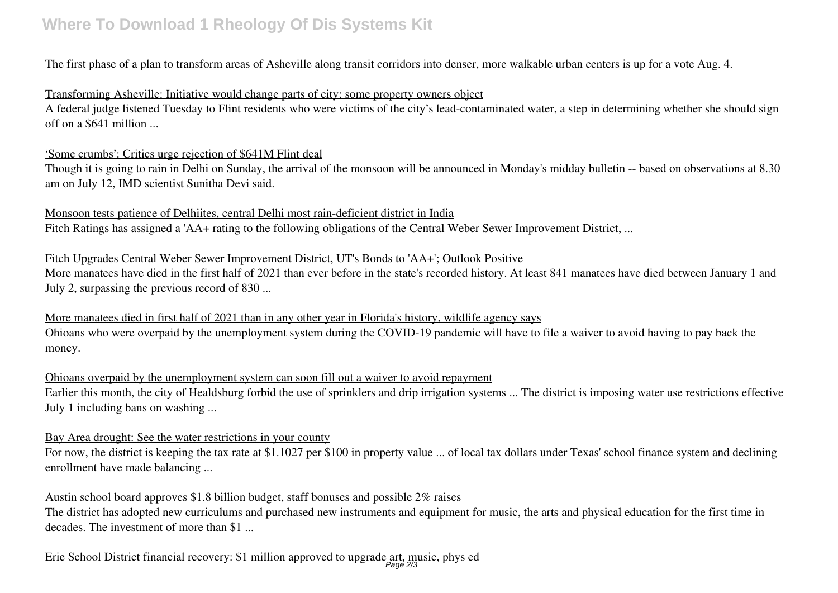# **Where To Download 1 Rheology Of Dis Systems Kit**

The first phase of a plan to transform areas of Asheville along transit corridors into denser, more walkable urban centers is up for a vote Aug. 4.

## Transforming Asheville: Initiative would change parts of city; some property owners object

A federal judge listened Tuesday to Flint residents who were victims of the city's lead-contaminated water, a step in determining whether she should sign off on a \$641 million ...

#### 'Some crumbs': Critics urge rejection of \$641M Flint deal

Though it is going to rain in Delhi on Sunday, the arrival of the monsoon will be announced in Monday's midday bulletin -- based on observations at 8.30 am on July 12, IMD scientist Sunitha Devi said.

#### Monsoon tests patience of Delhiites, central Delhi most rain-deficient district in India

Fitch Ratings has assigned a 'AA+ rating to the following obligations of the Central Weber Sewer Improvement District, ...

### Fitch Upgrades Central Weber Sewer Improvement District, UT's Bonds to 'AA+'; Outlook Positive

More manatees have died in the first half of 2021 than ever before in the state's recorded history. At least 841 manatees have died between January 1 and July 2, surpassing the previous record of 830 ...

# More manatees died in first half of 2021 than in any other year in Florida's history, wildlife agency says Ohioans who were overpaid by the unemployment system during the COVID-19 pandemic will have to file a waiver to avoid having to pay back the money.

### Ohioans overpaid by the unemployment system can soon fill out a waiver to avoid repayment

Earlier this month, the city of Healdsburg forbid the use of sprinklers and drip irrigation systems ... The district is imposing water use restrictions effective July 1 including bans on washing ...

#### Bay Area drought: See the water restrictions in your county

For now, the district is keeping the tax rate at \$1.1027 per \$100 in property value ... of local tax dollars under Texas' school finance system and declining enrollment have made balancing ...

### Austin school board approves \$1.8 billion budget, staff bonuses and possible 2% raises

The district has adopted new curriculums and purchased new instruments and equipment for music, the arts and physical education for the first time in decades. The investment of more than \$1 ...

# Erie School District financial recovery: \$1 million approved to upgrade art, music, phys ed